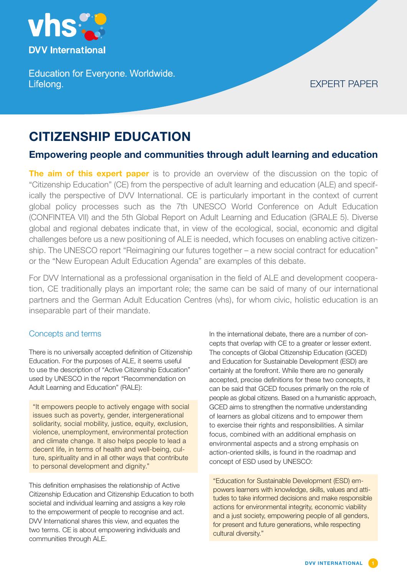

**Education for Everyone. Worldwide.** Lifelong.

# EXPERT PAPER

# **CITIZENSHIP EDUCATION**

## **Empowering people and communities through adult learning and education**

**The aim of this expert paper** is to provide an overview of the discussion on the topic of "Citizenship Education" (CE) from the perspective of adult learning and education (ALE) and specifically the perspective of DVV International. CE is particularly important in the context of current global policy processes such as the 7th UNESCO World Conference on Adult Education (CONFINTEA VII) and the 5th Global Report on Adult Learning and Education (GRALE 5). Diverse global and regional debates indicate that, in view of the ecological, social, economic and digital challenges before us a new positioning of ALE is needed, which focuses on enabling active citizenship. The UNESCO report "Reimagining our futures together – a new social contract for education" or the "New European Adult Education Agenda" are examples of this debate.

For DVV International as a professional organisation in the field of ALE and development cooperation, CE traditionally plays an important role; the same can be said of many of our international partners and the German Adult Education Centres (vhs), for whom civic, holistic education is an inseparable part of their mandate.

## Concepts and terms

There is no universally accepted definition of Citizenship Education. For the purposes of ALE, it seems useful to use the description of "Active Citizenship Education" used by UNESCO in the report "Recommendation on Adult Learning and Education" (RALE):

"It empowers people to actively engage with social issues such as poverty, gender, intergenerational solidarity, social mobility, justice, equity, exclusion, violence, unemployment, environmental protection and climate change. It also helps people to lead a decent life, in terms of health and well-being, culture, spirituality and in all other ways that contribute to personal development and dignity."

This definition emphasises the relationship of Active Citizenship Education and Citizenship Education to both societal and individual learning and assigns a key role to the empowerment of people to recognise and act. DVV International shares this view, and equates the two terms. CE is about empowering individuals and communities through ALE.

In the international debate, there are a number of concepts that overlap with CE to a greater or lesser extent. The concepts of Global Citizenship Education (GCED) and Education for Sustainable Development (ESD) are certainly at the forefront. While there are no generally accepted, precise definitions for these two concepts, it can be said that GCED focuses primarily on the role of people as global citizens. Based on a humanistic approach, GCED aims to strengthen the normative understanding of learners as global citizens and to empower them to exercise their rights and responsibilities. A similar focus, combined with an additional emphasis on environmental aspects and a strong emphasis on action-oriented skills, is found in the roadmap and concept of ESD used by UNESCO:

"Education for Sustainable Development (ESD) empowers learners with knowledge, skills, values and attitudes to take informed decisions and make responsible actions for environmental integrity, economic viability and a just society, empowering people of all genders, for present and future generations, while respecting cultural diversity."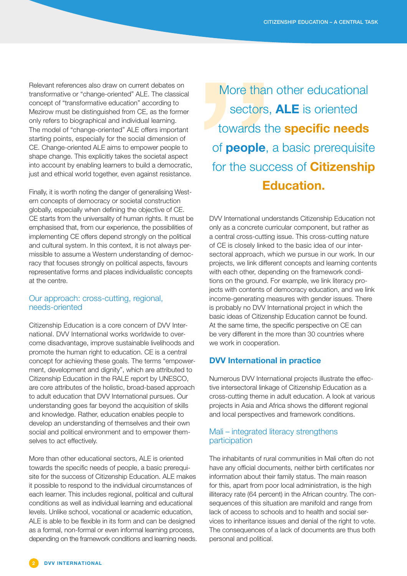Relevant references also draw on current debates on transformative or "change-oriented" ALE. The classical concept of "transformative education" according to Mezirow must be distinguished from CE, as the former only refers to biographical and individual learning. The model of "change-oriented" ALE offers important starting points, especially for the social dimension of CE. Change-oriented ALE aims to empower people to shape change. This explicitly takes the societal aspect into account by enabling learners to build a democratic, just and ethical world together, even against resistance.

Finally, it is worth noting the danger of generalising Western concepts of democracy or societal construction globally, especially when defining the objective of CE. CE starts from the universality of human rights. It must be emphasised that, from our experience, the possibilities of implementing CE offers depend strongly on the political and cultural system. In this context, it is not always permissible to assume a Western understanding of democracy that focuses strongly on political aspects, favours representative forms and places individualistic concepts at the centre.

#### Our approach: cross-cutting, regional, needs-oriented

Citizenship Education is a core concern of DVV International. DVV International works worldwide to overcome disadvantage, improve sustainable livelihoods and promote the human right to education. CE is a central concept for achieving these goals. The terms "empowerment, development and dignity", which are attributed to Citizenship Education in the RALE report by UNESCO, are core attributes of the holistic, broad-based approach to adult education that DVV International pursues. Our understanding goes far beyond the acquisition of skills and knowledge. Rather, education enables people to develop an understanding of themselves and their own social and political environment and to empower themselves to act effectively.

More than other educational sectors, ALE is oriented towards the specific needs of people, a basic prerequisite for the success of Citizenship Education. ALE makes it possible to respond to the individual circumstances of each learner. This includes regional, political and cultural conditions as well as individual learning and educational levels. Unlike school, vocational or academic education, ALE is able to be flexible in its form and can be designed as a formal, non-formal or even informal learning process, depending on the framework conditions and learning needs.

More than other educational sectors, **ALE** is oriented towards the **specific needs** of **people**, a basic prerequisite for the success of **Citizenship Education.**

DVV International understands Citizenship Education not only as a concrete curricular component, but rather as a central cross-cutting issue. This cross-cutting nature of CE is closely linked to the basic idea of our intersectoral approach, which we pursue in our work. In our projects, we link different concepts and learning contents with each other, depending on the framework conditions on the ground. For example, we link literacy projects with contents of democracy education, and we link income-generating measures with gender issues. There is probably no DVV International project in which the basic ideas of Citizenship Education cannot be found. At the same time, the specific perspective on CE can be very different in the more than 30 countries where we work in cooperation.

#### **DVV International in practice**

Numerous DVV International projects illustrate the effective intersectoral linkage of Citizenship Education as a cross-cutting theme in adult education. A look at various projects in Asia and Africa shows the different regional and local perspectives and framework conditions.

#### Mali – integrated literacy strengthens participation

The inhabitants of rural communities in Mali often do not have any official documents, neither birth certificates nor information about their family status. The main reason for this, apart from poor local administration, is the high illiteracy rate (64 percent) in the African country. The consequences of this situation are manifold and range from lack of access to schools and to health and social services to inheritance issues and denial of the right to vote. The consequences of a lack of documents are thus both personal and political.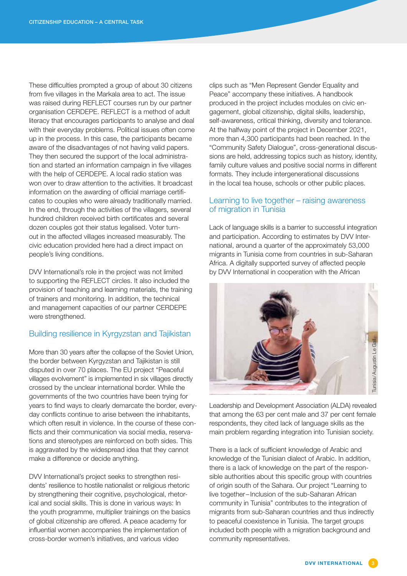These difficulties prompted a group of about 30 citizens from five villages in the Markala area to act. The issue was raised during REFLECT courses run by our partner organisation CERDEPE. REFLECT is a method of adult literacy that encourages participants to analyse and deal with their everyday problems. Political issues often come up in the process. In this case, the participants became aware of the disadvantages of not having valid papers. They then secured the support of the local administration and started an information campaign in five villages with the help of CERDEPE. A local radio station was won over to draw attention to the activities. It broadcast information on the awarding of official marriage certificates to couples who were already traditionally married. In the end, through the activities of the villagers, several hundred children received birth certificates and several dozen couples got their status legalised. Voter turnout in the affected villages increased measurably. The civic education provided here had a direct impact on people's living conditions.

DVV International's role in the project was not limited to supporting the REFLECT circles. It also included the provision of teaching and learning materials, the training of trainers and monitoring. In addition, the technical and management capacities of our partner CERDEPE were strengthened.

## Building resilience in Kyrgyzstan and Tajikistan

More than 30 years after the collapse of the Soviet Union, the border between Kyrgyzstan and Tajikistan is still disputed in over 70 places. The EU project "Peaceful villages evolvement" is implemented in six villages directly crossed by the unclear international border. While the governments of the two countries have been trying for years to find ways to clearly demarcate the border, everyday conflicts continue to arise between the inhabitants, which often result in violence. In the course of these conflicts and their communication via social media, reservations and stereotypes are reinforced on both sides. This is aggravated by the widespread idea that they cannot make a difference or decide anything.

DVV International's project seeks to strengthen residents' resilience to hostile nationalist or religious rhetoric by strengthening their cognitive, psychological, rhetorical and social skills. This is done in various ways: In the youth programme, multiplier trainings on the basics of global citizenship are offered. A peace academy for influential women accompanies the implementation of cross-border women's initiatives, and various video

clips such as "Men Represent Gender Equality and Peace" accompany these initiatives. A handbook produced in the project includes modules on civic engagement, global citizenship, digital skills, leadership, self-awareness, critical thinking, diversity and tolerance. At the halfway point of the project in December 2021, more than 4,300 participants had been reached. In the "Community Safety Dialogue", cross-generational discussions are held, addressing topics such as history, identity, family culture values and positive social norms in different formats. They include intergenerational discussions in the local tea house, schools or other public places.

#### Learning to live together – raising awareness of migration in Tunisia

Lack of language skills is a barrier to successful integration and participation. According to estimates by DVV International, around a quarter of the approximately 53,000 migrants in Tunisia come from countries in sub-Saharan Africa. A digitally supported survey of affected people by DVV International in cooperation with the African



Leadership and Development Association (ALDA) revealed that among the 63 per cent male and 37 per cent female respondents, they cited lack of language skills as the main problem regarding integration into Tunisian society.

There is a lack of sufficient knowledge of Arabic and knowledge of the Tunisian dialect of Arabic. In addition, there is a lack of knowledge on the part of the responsible authorities about this specific group with countries of origin south of the Sahara. Our project "Learning to live together – Inclusion of the sub-Saharan African community in Tunisia" contributes to the integration of migrants from sub-Saharan countries and thus indirectly to peaceful coexistence in Tunisia. The target groups included both people with a migration background and community representatives.